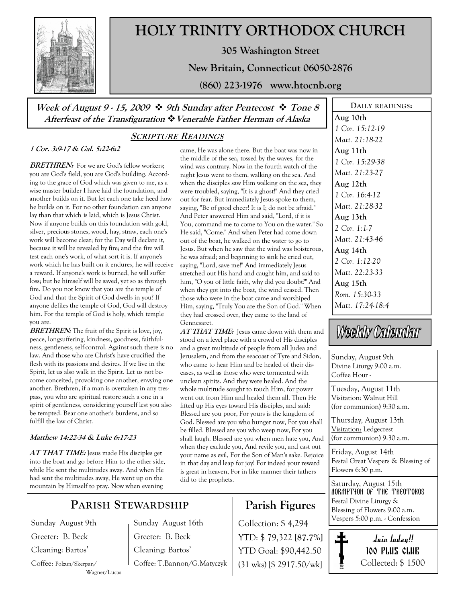

# HOLY TRINITY ORTHODOX CHURCH

305 Washington Street

New Britain, Connecticut 06050-2876

(860) 223-1976 www.htocnb.org

Week of August 9 - 15, 2009  $\div$  9th Sunday after Pentecost  $\div$  Tone 8 Afterfeast of the Transfiguration  $\ddot{\cdot}$  Venerable Father Herman of Alaska

### SCRIPTURE READINGS

### 1 Cor. 3:9-17 & Gal. 5:22-6:2

**BRETHREN:** For we are God's fellow workers: you are God's field, you are God's building. According to the grace of God which was given to me, as a wise master builder I have laid the foundation, and another builds on it. But let each one take heed how he builds on it. For no other foundation can anyone lay than that which is laid, which is Jesus Christ. Now if anyone builds on this foundation with gold, silver, precious stones, wood, hay, straw, each one's work will become clear; for the Day will declare it, because it will be revealed by fire; and the fire will test each one's work, of what sort it is. If anyone's work which he has built on it endures, he will receive a reward. If anyone's work is burned, he will suffer loss; but he himself will be saved, yet so as through fire. Do you not know that you are the temple of God and that the Spirit of God dwells in you? If anyone defiles the temple of God, God will destroy him. For the temple of God is holy, which temple you are.

**BRETHREN:** The fruit of the Spirit is love, joy, peace, longsuffering, kindness, goodness, faithfulness, gentleness, self-control. Against such there is no law. And those who are Christ's have crucified the flesh with its passions and desires. If we live in the Spirit, let us also walk in the Spirit. Let us not become conceited, provoking one another, envying one another. Brethren, if a man is overtaken in any trespass, you who are spiritual restore such a one in a spirit of gentleness, considering yourself lest you also be tempted. Bear one another's burdens, and so fulfill the law of Christ.

#### Matthew 14:22-34 & Luke 6:17-23

AT THAT TIME: Jesus made His disciples get into the boat and go before Him to the other side, while He sent the multitudes away. And when He had sent the multitudes away, He went up on the mountain by Himself to pray. Now when evening

### PARISH STEWARDSHIP

Sunday August 9th Greeter: B. Beck Cleaning: Bartos'

Coffee: Polzun/Skerpan/ Wagner/Lucas Sunday August 16th Greeter: B. Beck Cleaning: Bartos' Coffee: T.Bannon/G.Matyczyk

came, He was alone there. But the boat was now in the middle of the sea, tossed by the waves, for the wind was contrary. Now in the fourth watch of the night Jesus went to them, walking on the sea. And when the disciples saw Him walking on the sea, they were troubled, saying, "It is a ghost!" And they cried out for fear. But immediately Jesus spoke to them, saying, "Be of good cheer! It is I; do not be afraid." And Peter answered Him and said, "Lord, if it is You, command me to come to You on the water." So He said, "Come." And when Peter had come down out of the boat, he walked on the water to go to Jesus. But when he saw that the wind was boisterous, he was afraid; and beginning to sink he cried out, saying, "Lord, save me!" And immediately Jesus stretched out His hand and caught him, and said to him, "O you of little faith, why did you doubt?" And when they got into the boat, the wind ceased. Then those who were in the boat came and worshiped Him, saying, "Truly You are the Son of God." When they had crossed over, they came to the land of Gennesaret.

AT THAT TIME: Jesus came down with them and stood on a level place with a crowd of His disciples and a great multitude of people from all Judea and Jerusalem, and from the seacoast of Tyre and Sidon, who came to hear Him and be healed of their diseases, as well as those who were tormented with unclean spirits. And they were healed. And the whole multitude sought to touch Him, for power went out from Him and healed them all. Then He lifted up His eyes toward His disciples, and said: Blessed are you poor, For yours is the kingdom of God. Blessed are you who hunger now, For you shall be filled. Blessed are you who weep now, For you shall laugh. Blessed are you when men hate you, And when they exclude you, And revile you, and cast out your name as evil, For the Son of Man's sake. Rejoice in that day and leap for joy! For indeed your reward is great in heaven, For in like manner their fathers did to the prophets.

## Parish Figures

YTD: \$ 79,322 [87.7%] YTD Goal: \$90,442.50 (31 wks) [\$ 2917.50/wk]

Aug 10th 1 Cor. 15:12-19 Matt. 21:18-22 Aug 11th 1 Cor. 15:29-38 Matt. 21:23-27 Aug 12th 1 Cor. 16:4-12 Matt. 21:28-32 Aug 13th 2 Cor. 1:1-7 Matt. 21:43-46 Aug 14th 2 Cor. 1:12-20 Matt. 22:23-33 Aug 15th Rom. 15:30-33 Matt. 17:24-18:4

DAILY READINGS:

# Weekly Calendar

Sunday, August 9th Divine Liturgy 9:00 a.m. Coffee Hour -

Tuesday, August 11th Visitation: Walnut Hill (for communion) 9:30 a.m.

Thursday, August 13th Visitation: Ledgecrest (for communion) 9:30 a.m.

Friday, August 14th Festal Great Vespers & Blessing of Flowers 6:30 p.m.

Saturday, August 15th **MORMITION OF THE THEOTOKOS** Festal Divine Liturgy & Blessing of Flowers 9:00 a.m. Vespers 5:00 p.m. - Confession Collection: \$ 4,294